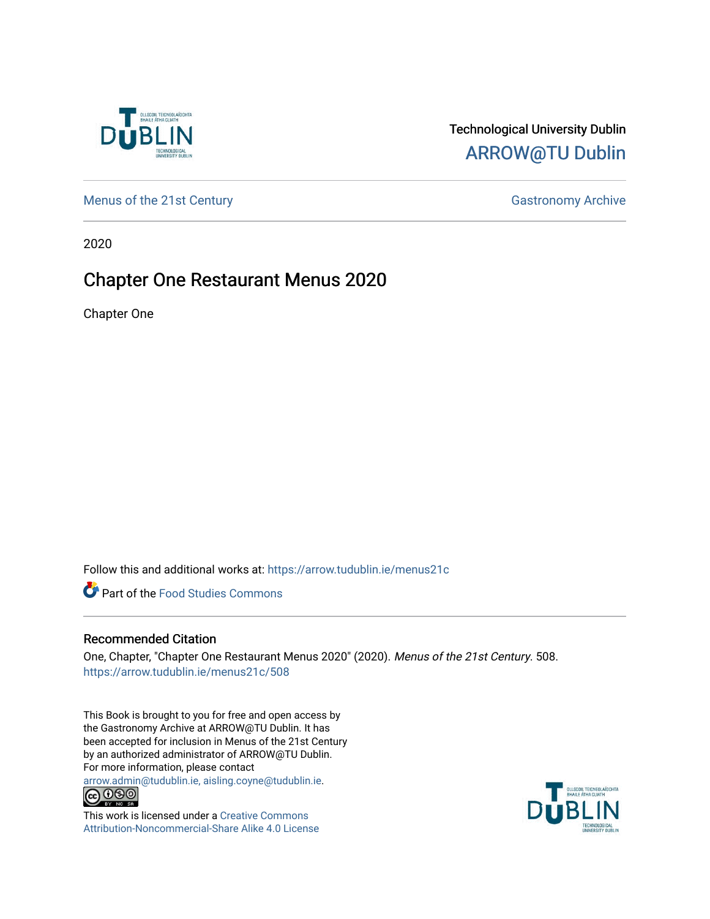

# Technological University Dublin [ARROW@TU Dublin](https://arrow.tudublin.ie/)

[Menus of the 21st Century](https://arrow.tudublin.ie/menus21c) Gastronomy Archive

2020

# Chapter One Restaurant Menus 2020

Chapter One

Follow this and additional works at: [https://arrow.tudublin.ie/menus21c](https://arrow.tudublin.ie/menus21c?utm_source=arrow.tudublin.ie%2Fmenus21c%2F508&utm_medium=PDF&utm_campaign=PDFCoverPages) 

**Part of the Food Studies Commons** 

#### Recommended Citation

One, Chapter, "Chapter One Restaurant Menus 2020" (2020). Menus of the 21st Century. 508. [https://arrow.tudublin.ie/menus21c/508](https://arrow.tudublin.ie/menus21c/508?utm_source=arrow.tudublin.ie%2Fmenus21c%2F508&utm_medium=PDF&utm_campaign=PDFCoverPages) 

This Book is brought to you for free and open access by the Gastronomy Archive at ARROW@TU Dublin. It has been accepted for inclusion in Menus of the 21st Century by an authorized administrator of ARROW@TU Dublin. For more information, please contact

[arrow.admin@tudublin.ie, aisling.coyne@tudublin.ie](mailto:arrow.admin@tudublin.ie,%20aisling.coyne@tudublin.ie).<br>
© 0 9 9 1



This work is licensed under a [Creative Commons](http://creativecommons.org/licenses/by-nc-sa/4.0/) [Attribution-Noncommercial-Share Alike 4.0 License](http://creativecommons.org/licenses/by-nc-sa/4.0/)

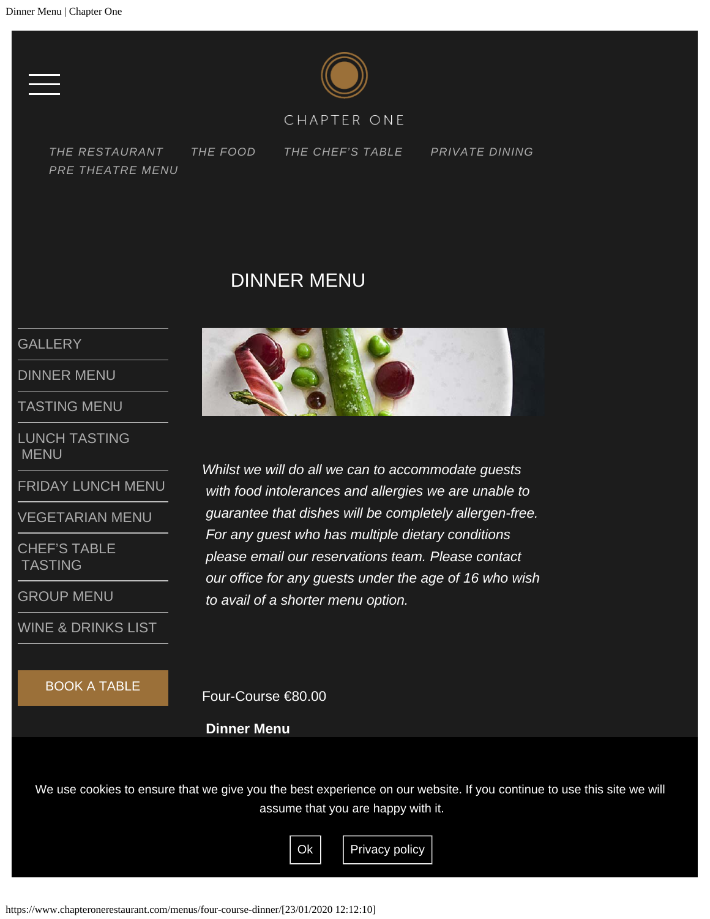

#### CHAPTER ONE

<span id="page-1-0"></span>*[THE RESTAURANT](https://www.chapteronerestaurant.com/the-restaurant/) [THE FOOD](https://www.chapteronerestaurant.com/the-food/) [THE CHEF'S TABLE](https://www.chapteronerestaurant.com/chefs-table/) [PRIVATE DINING](#page-1-0) [PRE THEATRE MENU](https://www.chapteronerestaurant.com/pre-theatre-lunch/)*

## DINNER MENU

#### **[GALLERY](https://www.chapteronerestaurant.com/the-food/)**

[DINNER MENU](#page-1-0)

[TASTING MENU](https://www.chapteronerestaurant.com/menus/tasting-menu/)

[LUNCH TASTING](https://www.chapteronerestaurant.com/menus/lunch-menu/)  [MENU](https://www.chapteronerestaurant.com/menus/lunch-menu/)

[FRIDAY LUNCH MENU](#page-5-0)

[VEGETARIAN MENU](https://www.chapteronerestaurant.com/menus/vegetarian-menu/)

[CHEF'S TABLE](https://www.chapteronerestaurant.com/menus/chefs-table-tasting/)  [TASTING](https://www.chapteronerestaurant.com/menus/chefs-table-tasting/)

[GROUP MENU](#page-7-0)

[WINE & DRINKS LIST](https://www.chapteronerestaurant.com/menus/wine-list/)

BOOK A TABLE



*Whilst we will do all we can to accommodate guests with food intolerances and allergies we are unable to guarantee that dishes will be completely allergen-free. For any guest who has multiple dietary conditions please email our reservations team. Please contact our office for any guests under the age of 16 who wish to avail of a shorter menu option.*

Four-Course €80.00

**Dinner Menu**

We use cookies to ensure that we give you the best experience on our website. If you continue to use this site we will assume that you are happy with it.

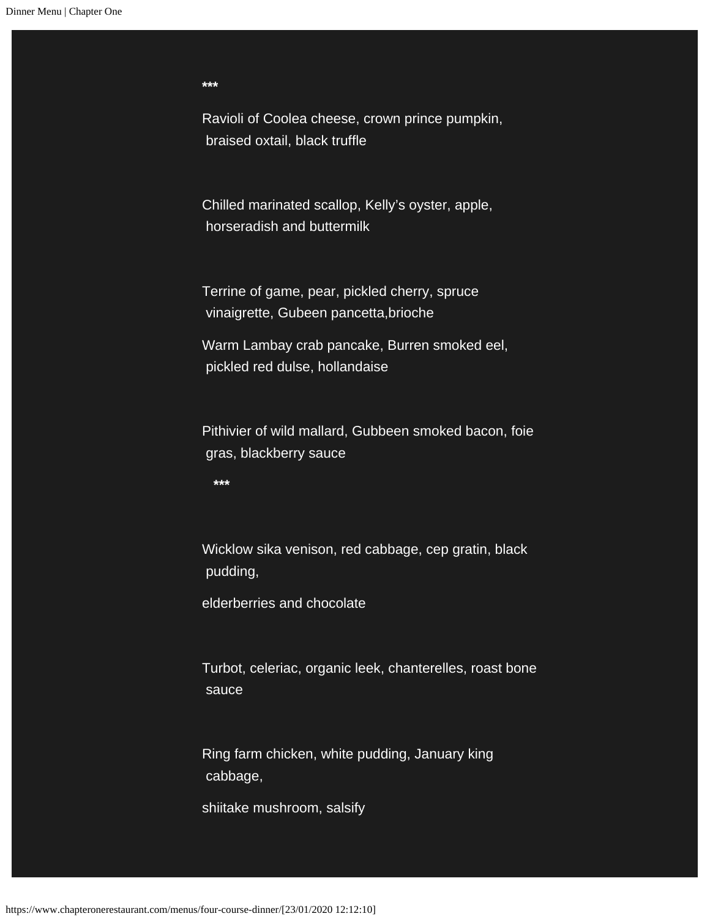**\*\*\***

Ravioli of Coolea cheese, crown prince pumpkin, braised oxtail, black truffle

Chilled marinated scallop, Kelly's oyster, apple, horseradish and buttermilk

Terrine of game, pear, pickled cherry, spruce vinaigrette, Gubeen pancetta,brioche

Warm Lambay crab pancake, Burren smoked eel, pickled red dulse, hollandaise

Pithivier of wild mallard, Gubbeen smoked bacon, foie gras, blackberry sauce

 **\*\*\***

Wicklow sika venison, red cabbage, cep gratin, black pudding,

elderberries and chocolate

Turbot, celeriac, organic leek, chanterelles, roast bone sauce

Ring farm chicken, white pudding, January king cabbage,

shiitake mushroom, salsify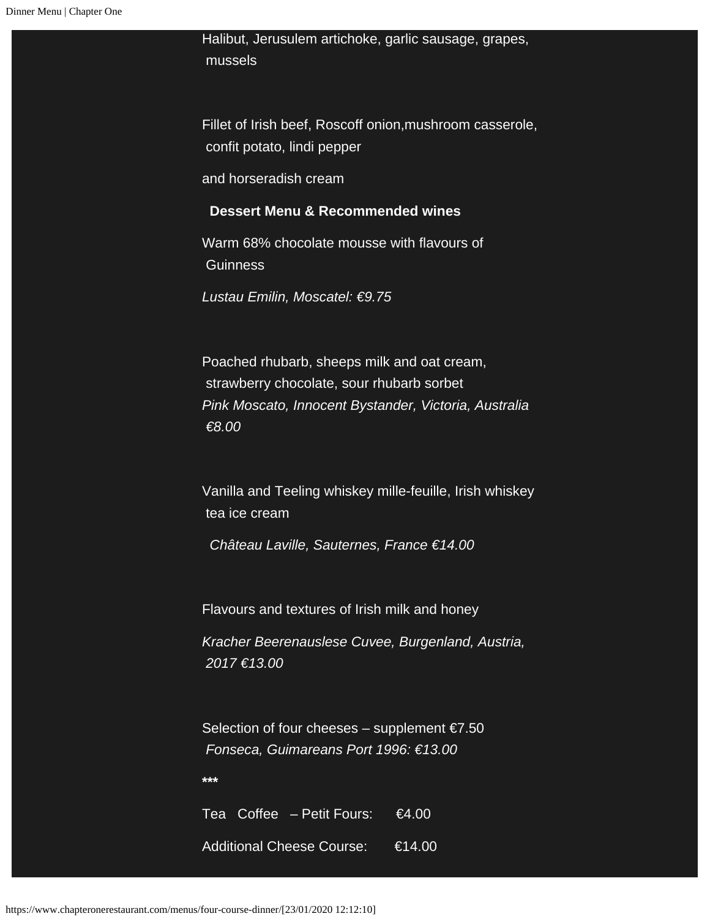Halibut, Jerusulem artichoke, garlic sausage, grapes, mussels

Fillet of Irish beef, Roscoff onion,mushroom casserole, confit potato, lindi pepper

and horseradish cream

#### **Dessert Menu & Recommended wines**

Warm 68% chocolate mousse with flavours of **Guinness** 

*Lustau Emilin, Moscatel: €9.75*

Poached rhubarb, sheeps milk and oat cream, strawberry chocolate, sour rhubarb sorbet *Pink Moscato, Innocent Bystander, Victoria, Australia €8.00*

Vanilla and Teeling whiskey mille-feuille, Irish whiskey tea ice cream

 *Château Laville, Sauternes, France €14.00*

Flavours and textures of Irish milk and honey

*Kracher Beerenauslese Cuvee, Burgenland, Austria, 2017 €13.00*

Selection of four cheeses – supplement  $\epsilon$ 7.50  *Fonseca, Guimareans Port 1996: €13.00*

**\*\*\***

Tea Coffee – Petit Fours: €4.00 Additional Cheese Course: €14.00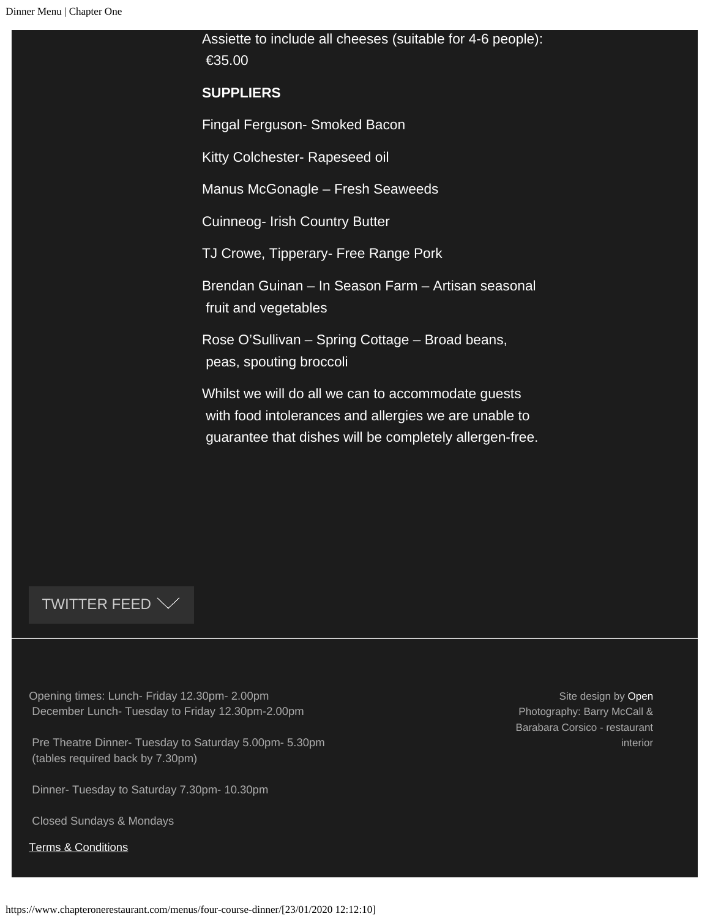Assiette to include all cheeses (suitable for 4-6 people): €35.00 **SUPPLIERS** Fingal Ferguson- Smoked Bacon Kitty Colchester- Rapeseed oil Manus McGonagle – Fresh Seaweeds Cuinneog- Irish Country Butter TJ Crowe, Tipperary- Free Range Pork Brendan Guinan – In Season Farm – Artisan seasonal fruit and vegetables Rose O'Sullivan – Spring Cottage – Broad beans, peas, spouting broccoli Whilst we will do all we can to accommodate guests with food intolerances and allergies we are unable to guarantee that dishes will be completely allergen-free.

#### TWITTER FEED  $\vee$

Opening times: Lunch- Friday 12.30pm- 2.00pm December Lunch- Tuesday to Friday 12.30pm-2.00pm

Pre Theatre Dinner- Tuesday to Saturday 5.00pm- 5.30pm (tables required back by 7.30pm)

Dinner- Tuesday to Saturday 7.30pm- 10.30pm

Closed Sundays & Mondays

[Terms & Conditions](https://www.chapteronerestaurant.com/terms-conditions/)

Site design by [Open](http://www.weareopen.ie/) Photography: Barry McCall & Barabara Corsico - restaurant interior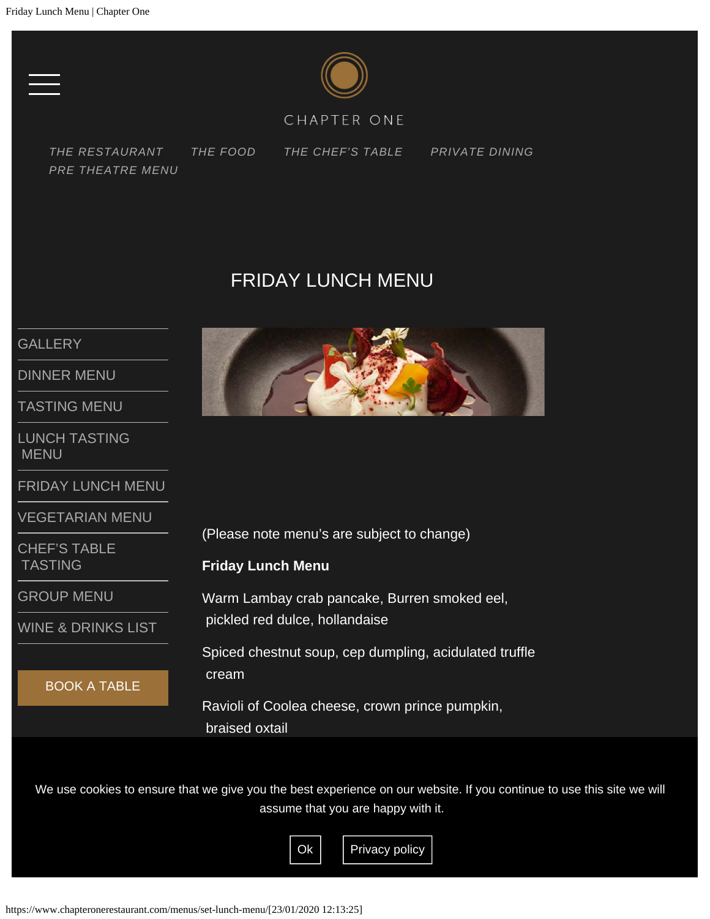

### CHAPTER ONE

<span id="page-5-0"></span>*[THE RESTAURANT](https://www.chapteronerestaurant.com/the-restaurant/) [THE FOOD](https://www.chapteronerestaurant.com/the-food/) [THE CHEF'S TABLE](https://www.chapteronerestaurant.com/chefs-table/) [PRIVATE DINING](#page-5-0) [PRE THEATRE MENU](https://www.chapteronerestaurant.com/pre-theatre-lunch/)*

# FRIDAY LUNCH MENU

### **[GALLERY](https://www.chapteronerestaurant.com/the-food/)**

[DINNER MENU](#page-1-0)

[TASTING MENU](https://www.chapteronerestaurant.com/menus/tasting-menu/)

[LUNCH TASTING](https://www.chapteronerestaurant.com/menus/lunch-menu/)  [MENU](https://www.chapteronerestaurant.com/menus/lunch-menu/)

[FRIDAY LUNCH MENU](#page-5-0)

[VEGETARIAN MENU](https://www.chapteronerestaurant.com/menus/vegetarian-menu/)

[CHEF'S TABLE](https://www.chapteronerestaurant.com/menus/chefs-table-tasting/)  [TASTING](https://www.chapteronerestaurant.com/menus/chefs-table-tasting/)

[GROUP MENU](#page-7-0)

[WINE & DRINKS LIST](https://www.chapteronerestaurant.com/menus/wine-list/)

BOOK A TABLE



(Please note menu's are subject to change)

#### **Friday Lunch Menu**

Warm Lambay crab pancake, Burren smoked eel, pickled red dulce, hollandaise

Spiced chestnut soup, cep dumpling, acidulated truffle cream

Ravioli of Coolea cheese, crown prince pumpkin, braised oxtail

We use cookies to ensure that we give you the best experience on our website. If you continue to use this site we will assume that you are happy with it.

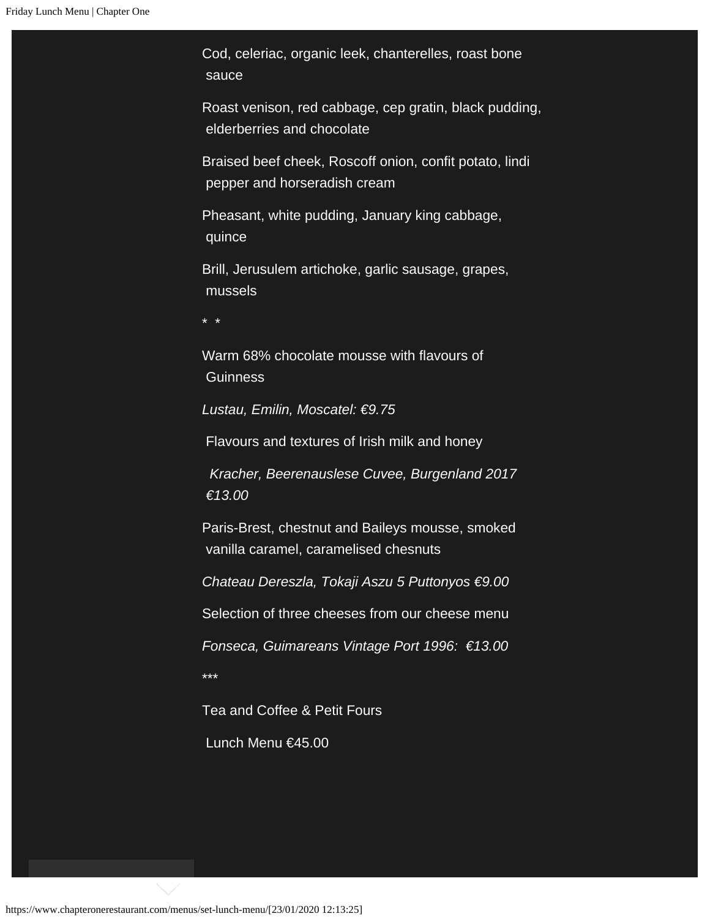Cod, celeriac, organic leek, chanterelles, roast bone sauce

Roast venison, red cabbage, cep gratin, black pudding, elderberries and chocolate

Braised beef cheek, Roscoff onion, confit potato, lindi pepper and horseradish cream

Pheasant, white pudding, January king cabbage, quince

Brill, Jerusulem artichoke, garlic sausage, grapes, mussels

\* \*

Warm 68% chocolate mousse with flavours of **Guinness** 

*Lustau, Emilin, Moscatel: €9.75*

Flavours and textures of Irish milk and honey

 *Kracher, Beerenauslese Cuvee, Burgenland 2017 €13.00*

Paris-Brest, chestnut and Baileys mousse, smoked vanilla caramel, caramelised chesnuts

*Chateau Dereszla, Tokaji Aszu 5 Puttonyos €9.00*

Selection of three cheeses from our cheese menu

*Fonseca, Guimareans Vintage Port 1996: €13.00* \*\*\*

Tea and Coffee & Petit Fours

Lunch Menu €45.00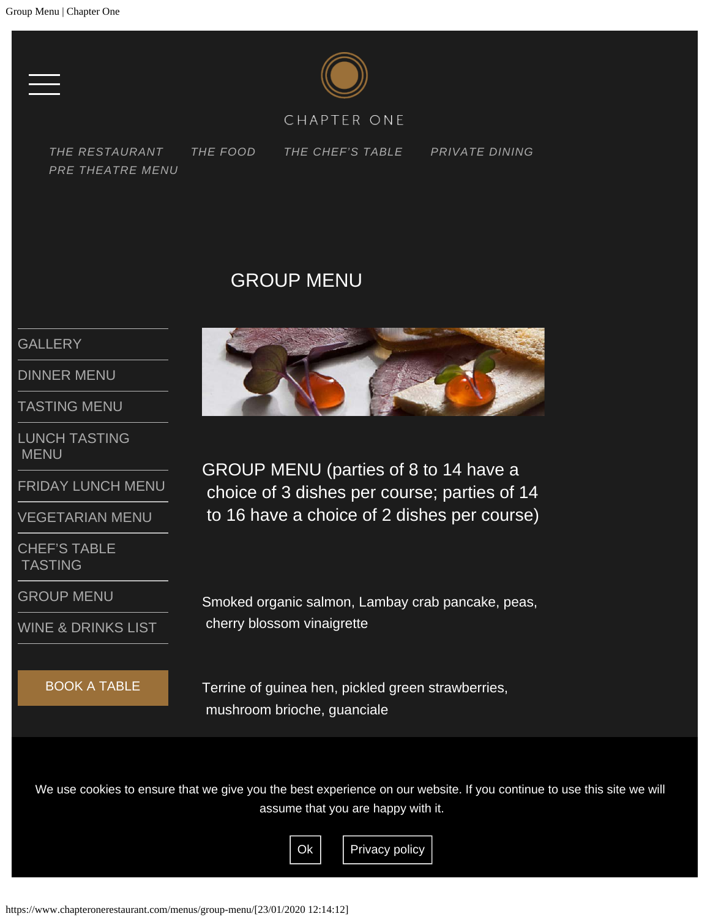

#### CHAPTER ONE

<span id="page-7-0"></span>*[THE RESTAURANT](https://www.chapteronerestaurant.com/the-restaurant/) [THE FOOD](https://www.chapteronerestaurant.com/the-food/) [THE CHEF'S TABLE](https://www.chapteronerestaurant.com/chefs-table/) [PRIVATE DINING](#page-7-0) [PRE THEATRE MENU](https://www.chapteronerestaurant.com/pre-theatre-lunch/)*

# GROUP MENU

#### **[GALLERY](https://www.chapteronerestaurant.com/the-food/)**

[DINNER MENU](#page-1-0)

[TASTING MENU](https://www.chapteronerestaurant.com/menus/tasting-menu/)

[LUNCH TASTING](https://www.chapteronerestaurant.com/menus/lunch-menu/)  [MENU](https://www.chapteronerestaurant.com/menus/lunch-menu/)

[FRIDAY LUNCH MENU](#page-5-0)

[VEGETARIAN MENU](https://www.chapteronerestaurant.com/menus/vegetarian-menu/)

[CHEF'S TABLE](https://www.chapteronerestaurant.com/menus/chefs-table-tasting/)  [TASTING](https://www.chapteronerestaurant.com/menus/chefs-table-tasting/)

[GROUP MENU](#page-7-0)

[WINE & DRINKS LIST](https://www.chapteronerestaurant.com/menus/wine-list/)

#### BOOK A TABLE



GROUP MENU (parties of 8 to 14 have a choice of 3 dishes per course; parties of 14 to 16 have a choice of 2 dishes per course)

Smoked organic salmon, Lambay crab pancake, peas, cherry blossom vinaigrette

Terrine of guinea hen, pickled green strawberries, mushroom brioche, guanciale

We use cookies to ensure that we give you the best experience on our website. If you continue to use this site we will<br> assume that you are happy with it.

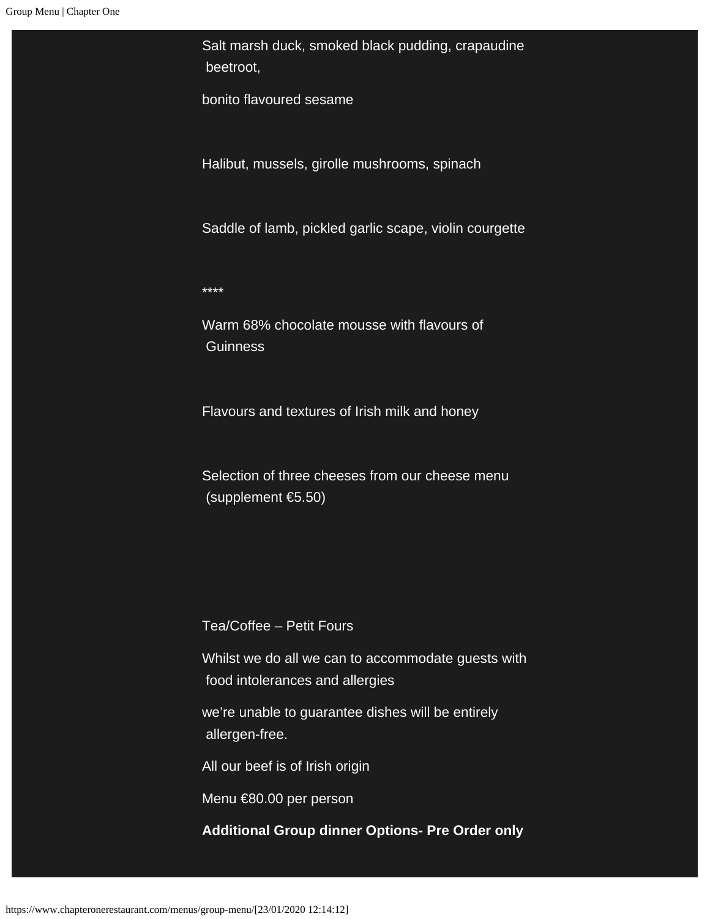Salt marsh duck, smoked black pudding, crapaudine beetroot,

bonito flavoured sesame

Halibut, mussels, girolle mushrooms, spinach

Saddle of lamb, pickled garlic scape, violin courgette

\*\*\*\*

Warm 68% chocolate mousse with flavours of **Guinness** 

Flavours and textures of Irish milk and honey

Selection of three cheeses from our cheese menu (supplement €5.50)

Tea/Coffee – Petit Fours

Whilst we do all we can to accommodate guests with food intolerances and allergies

we're unable to guarantee dishes will be entirely allergen-free.

All our beef is of Irish origin

Menu €80.00 per person

**Additional Group dinner Options- Pre Order only**